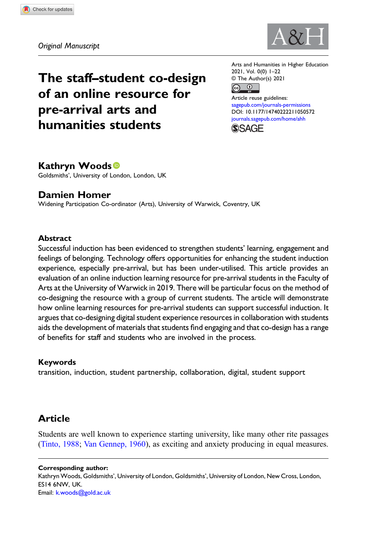

# The staff–student co-design of an online resource for pre-arrival arts and humanities students

Arts and Humanities in Higher Education 2021, Vol. 0(0) 1–22 © The Author(s) 2021



Article reuse guidelines: [sagepub.com/journals-permissions](https://uk.sagepub.com/en-gb/journals-permissions) DOI: [10.1177/14740222211050572](https://doi.org/10.1177/14740222211050572) [journals.sagepub.com/home/ahh](https://journals.sagepub.com/home/ahh) **SSAGE** 

# Kathryn Woods

Goldsmiths', University of London, London, UK

# Damien Homer

Widening Participation Co-ordinator (Arts), University of Warwick, Coventry, UK

### Abstract

Successful induction has been evidenced to strengthen students' learning, engagement and feelings of belonging. Technology offers opportunities for enhancing the student induction experience, especially pre-arrival, but has been under-utilised. This article provides an evaluation of an online induction learning resource for pre-arrival students in the Faculty of Arts at the University of Warwick in 2019. There will be particular focus on the method of co-designing the resource with a group of current students. The article will demonstrate how online learning resources for pre-arrival students can support successful induction. It argues that co-designing digital student experience resources in collaboration with students aids the development of materials that students find engaging and that co-design has a range of benefits for staff and students who are involved in the process.

### Keywords

transition, induction, student partnership, collaboration, digital, student support

# Article

Students are well known to experience starting university, like many other rite passages [\(Tinto, 1988;](#page-21-0) [Van Gennep, 1960\)](#page-21-1), as exciting and anxiety producing in equal measures.

Corresponding author: Kathryn Woods, Goldsmiths', University of London, Goldsmiths', University of London, New Cross, London, ES14 6NW, UK. Email: [k.woods@gold.ac.uk](mailto:k.woods@gold.ac.uk)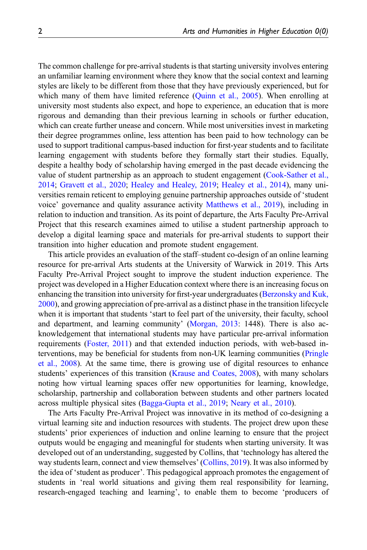The common challenge for pre-arrival students is that starting university involves entering an unfamiliar learning environment where they know that the social context and learning styles are likely to be different from those that they have previously experienced, but for which many of them have limited reference [\(Quinn et al., 2005\)](#page-21-2). When enrolling at university most students also expect, and hope to experience, an education that is more rigorous and demanding than their previous learning in schools or further education, which can create further unease and concern. While most universities invest in marketing their degree programmes online, less attention has been paid to how technology can be used to support traditional campus-based induction for first-year students and to facilitate learning engagement with students before they formally start their studies. Equally, despite a healthy body of scholarship having emerged in the past decade evidencing the value of student partnership as an approach to student engagement ([Cook-Sather et al.,](#page-18-0) [2014;](#page-18-0) [Gravett et al., 2020;](#page-19-0) [Healey and Healey, 2019](#page-19-1); [Healey et al., 2014](#page-19-2)), many universities remain reticent to employing genuine partnership approaches outside of 'student voice' governance and quality assurance activity [Matthews et al., 2019\)](#page-20-0), including in relation to induction and transition. As its point of departure, the Arts Faculty Pre-Arrival Project that this research examines aimed to utilise a student partnership approach to develop a digital learning space and materials for pre-arrival students to support their transition into higher education and promote student engagement.

This article provides an evaluation of the staff–student co-design of an online learning resource for pre-arrival Arts students at the University of Warwick in 2019. This Arts Faculty Pre-Arrival Project sought to improve the student induction experience. The project was developed in a Higher Education context where there is an increasing focus on enhancing the transition into university for first-year undergraduates [\(Berzonsky and Kuk,](#page-18-1) [2000\)](#page-18-1), and growing appreciation of pre-arrival as a distinct phase in the transition lifecycle when it is important that students 'start to feel part of the university, their faculty, school and department, and learning community' ([Morgan, 2013](#page-20-1): 1448). There is also acknowledgement that international students may have particular pre-arrival information requirements ([Foster, 2011](#page-19-3)) and that extended induction periods, with web-based interventions, may be beneficial for students from non-UK learning communities ([Pringle](#page-21-3) [et al., 2008](#page-21-3)). At the same time, there is growing use of digital resources to enhance students' experiences of this transition [\(Krause and Coates, 2008\)](#page-19-4), with many scholars noting how virtual learning spaces offer new opportunities for learning, knowledge, scholarship, partnership and collaboration between students and other partners located across multiple physical sites [\(Bagga-Gupta et al., 2019](#page-17-0); [Neary et al., 2010](#page-20-2)).

The Arts Faculty Pre-Arrival Project was innovative in its method of co-designing a virtual learning site and induction resources with students. The project drew upon these students' prior experiences of induction and online learning to ensure that the project outputs would be engaging and meaningful for students when starting university. It was developed out of an understanding, suggested by Collins, that 'technology has altered the way students learn, connect and view themselves' ([Collins, 2019\)](#page-18-2). It was also informed by the idea of 'student as producer'. This pedagogical approach promotes the engagement of students in 'real world situations and giving them real responsibility for learning, research-engaged teaching and learning', to enable them to become 'producers of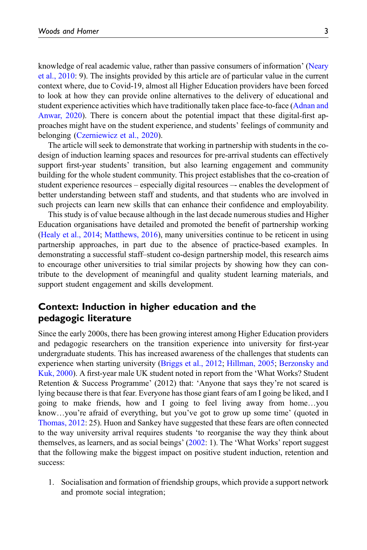knowledge of real academic value, rather than passive consumers of information' [\(Neary](#page-20-2) [et al., 2010](#page-20-2): 9). The insights provided by this article are of particular value in the current context where, due to Covid-19, almost all Higher Education providers have been forced to look at how they can provide online alternatives to the delivery of educational and student experience activities which have traditionally taken place face-to-face [\(Adnan and](#page-17-1) [Anwar, 2020](#page-17-1)). There is concern about the potential impact that these digital-first approaches might have on the student experience, and students' feelings of community and belonging [\(Czerniewicz et al., 2020\)](#page-18-3).

The article will seek to demonstrate that working in partnership with students in the codesign of induction learning spaces and resources for pre-arrival students can effectively support first-year students' transition, but also learning engagement and community building for the whole student community. This project establishes that the co-creation of student experience resources – especially digital resources –- enables the development of better understanding between staff and students, and that students who are involved in such projects can learn new skills that can enhance their confidence and employability.

This study is of value because although in the last decade numerous studies and Higher Education organisations have detailed and promoted the benefit of partnership working [\(Healy et al., 2014](#page-19-2); [Matthews, 2016](#page-20-3)), many universities continue to be reticent in using partnership approaches, in part due to the absence of practice-based examples. In demonstrating a successful staff–student co-design partnership model, this research aims to encourage other universities to trial similar projects by showing how they can contribute to the development of meaningful and quality student learning materials, and support student engagement and skills development.

# Context: Induction in higher education and the pedagogic literature

Since the early 2000s, there has been growing interest among Higher Education providers and pedagogic researchers on the transition experience into university for first-year undergraduate students. This has increased awareness of the challenges that students can experience when starting university ([Briggs et al., 2012;](#page-18-4) [Hillman, 2005](#page-19-5); [Berzonsky and](#page-18-1) [Kuk, 2000\)](#page-18-1). A first-year male UK student noted in report from the 'What Works? Student Retention & Success Programme' (2012) that: 'Anyone that says they're not scared is lying because there is that fear. Everyone has those giant fears of am I going be liked, and I going to make friends, how and I going to feel living away from home…you know…you're afraid of everything, but you've got to grow up some time' (quoted in [Thomas, 2012:](#page-21-4) 25). Huon and Sankey have suggested that these fears are often connected to the way university arrival requires students 'to reorganise the way they think about themselves, as learners, and as social beings' [\(2002](#page-19-6): 1). The 'What Works' report suggest that the following make the biggest impact on positive student induction, retention and success:

1. Socialisation and formation of friendship groups, which provide a support network and promote social integration;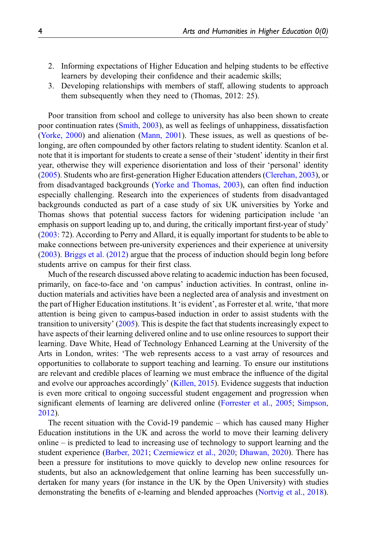- 2. Informing expectations of Higher Education and helping students to be effective learners by developing their confidence and their academic skills;
- 3. Developing relationships with members of staff, allowing students to approach them subsequently when they need to (Thomas, 2012: 25).

Poor transition from school and college to university has also been shown to create poor continuation rates [\(Smith, 2003\)](#page-21-5), as well as feelings of unhappiness, dissatisfaction [\(Yorke, 2000](#page-21-6)) and alienation [\(Mann, 2001](#page-20-4)). These issues, as well as questions of belonging, are often compounded by other factors relating to student identity. Scanlon et al. note that it is important for students to create a sense of their 'student' identity in their first year, otherwise they will experience disorientation and loss of their 'personal' identity [\(2005](#page-21-7)). Students who are first-generation Higher Education attenders [\(Clerehan, 2003](#page-18-5)), or from disadvantaged backgrounds [\(Yorke and Thomas, 2003](#page-21-8)), can often find induction especially challenging. Research into the experiences of students from disadvantaged backgrounds conducted as part of a case study of six UK universities by Yorke and Thomas shows that potential success factors for widening participation include 'an emphasis on support leading up to, and during, the critically important first-year of study' [\(2003](#page-21-8): 72). According to Perry and Allard, it is equally important for students to be able to make connections between pre-university experiences and their experience at university [\(2003](#page-20-5)). [Briggs et al. \(2012\)](#page-18-4) argue that the process of induction should begin long before students arrive on campus for their first class.

Much of the research discussed above relating to academic induction has been focused, primarily, on face-to-face and 'on campus' induction activities. In contrast, online induction materials and activities have been a neglected area of analysis and investment on the part of Higher Education institutions. It 'is evident', as Forrester et al. write, 'that more attention is being given to campus-based induction in order to assist students with the transition to university' ([2005\)](#page-19-7). This is despite the fact that students increasingly expect to have aspects of their learning delivered online and to use online resources to support their learning. Dave White, Head of Technology Enhanced Learning at the University of the Arts in London, writes: 'The web represents access to a vast array of resources and opportunities to collaborate to support teaching and learning. To ensure our institutions are relevant and credible places of learning we must embrace the influence of the digital and evolve our approaches accordingly' [\(Killen, 2015\)](#page-19-8). Evidence suggests that induction is even more critical to ongoing successful student engagement and progression when significant elements of learning are delivered online [\(Forrester et al., 2005](#page-19-7); [Simpson,](#page-21-9) [2012\)](#page-21-9).

The recent situation with the Covid-19 pandemic – which has caused many Higher Education institutions in the UK and across the world to move their learning delivery online – is predicted to lead to increasing use of technology to support learning and the student experience ([Barber, 2021](#page-18-6); [Czerniewicz et al., 2020](#page-18-3); [Dhawan, 2020\)](#page-18-7). There has been a pressure for institutions to move quickly to develop new online resources for students, but also an acknowledgement that online learning has been successfully undertaken for many years (for instance in the UK by the Open University) with studies demonstrating the benefits of e-learning and blended approaches [\(Nortvig et al., 2018\)](#page-20-6).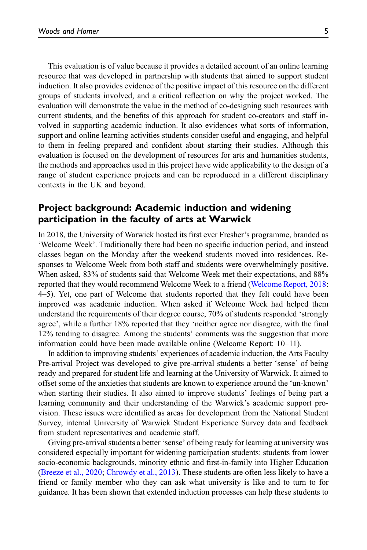This evaluation is of value because it provides a detailed account of an online learning resource that was developed in partnership with students that aimed to support student induction. It also provides evidence of the positive impact of this resource on the different groups of students involved, and a critical reflection on why the project worked. The evaluation will demonstrate the value in the method of co-designing such resources with current students, and the benefits of this approach for student co-creators and staff involved in supporting academic induction. It also evidences what sorts of information, support and online learning activities students consider useful and engaging, and helpful to them in feeling prepared and confident about starting their studies. Although this evaluation is focused on the development of resources for arts and humanities students, the methods and approaches used in this project have wide applicability to the design of a range of student experience projects and can be reproduced in a different disciplinary contexts in the UK and beyond.

# Project background: Academic induction and widening participation in the faculty of arts at Warwick

In 2018, the University of Warwick hosted its first ever Fresher's programme, branded as 'Welcome Week'. Traditionally there had been no specific induction period, and instead classes began on the Monday after the weekend students moved into residences. Responses to Welcome Week from both staff and students were overwhelmingly positive. When asked, 83% of students said that Welcome Week met their expectations, and 88% reported that they would recommend Welcome Week to a friend ([Welcome Report, 2018:](#page-21-10) 4–5). Yet, one part of Welcome that students reported that they felt could have been improved was academic induction. When asked if Welcome Week had helped them understand the requirements of their degree course, 70% of students responded 'strongly agree', while a further 18% reported that they 'neither agree nor disagree, with the final 12% tending to disagree. Among the students' comments was the suggestion that more information could have been made available online (Welcome Report: 10–11).

In addition to improving students' experiences of academic induction, the Arts Faculty Pre-arrival Project was developed to give pre-arrival students a better 'sense' of being ready and prepared for student life and learning at the University of Warwick. It aimed to offset some of the anxieties that students are known to experience around the 'un-known' when starting their studies. It also aimed to improve students' feelings of being part a learning community and their understanding of the Warwick's academic support provision. These issues were identified as areas for development from the National Student Survey, internal University of Warwick Student Experience Survey data and feedback from student representatives and academic staff.

Giving pre-arrival students a better 'sense' of being ready for learning at university was considered especially important for widening participation students: students from lower socio-economic backgrounds, minority ethnic and first-in-family into Higher Education [\(Breeze et al., 2020](#page-18-8); [Chrowdy et al., 2013\)](#page-18-9). These students are often less likely to have a friend or family member who they can ask what university is like and to turn to for guidance. It has been shown that extended induction processes can help these students to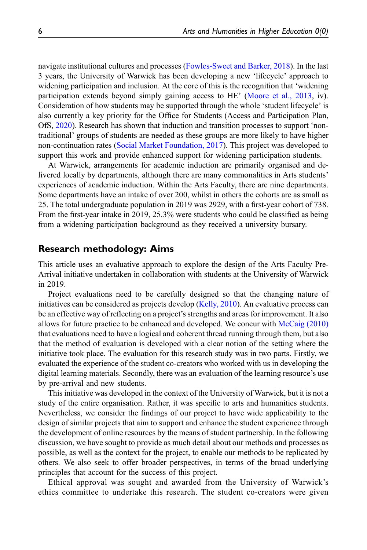navigate institutional cultures and processes [\(Fowles-Sweet and Barker, 2018](#page-19-9)). In the last 3 years, the University of Warwick has been developing a new 'lifecycle' approach to widening participation and inclusion. At the core of this is the recognition that 'widening participation extends beyond simply gaining access to HE' [\(Moore et al., 2013](#page-20-7), iv). Consideration of how students may be supported through the whole 'student lifecycle' is also currently a key priority for the Office for Students (Access and Participation Plan, OfS, [2020\)](#page-20-8). Research has shown that induction and transition processes to support 'nontraditional' groups of students are needed as these groups are more likely to have higher non-continuation rates ([Social Market Foundation, 2017](#page-21-11)). This project was developed to support this work and provide enhanced support for widening participation students.

At Warwick, arrangements for academic induction are primarily organised and delivered locally by departments, although there are many commonalities in Arts students' experiences of academic induction. Within the Arts Faculty, there are nine departments. Some departments have an intake of over 200, whilst in others the cohorts are as small as 25. The total undergraduate population in 2019 was 2929, with a first-year cohort of 738. From the first-year intake in 2019, 25.3% were students who could be classified as being from a widening participation background as they received a university bursary.

# Research methodology: Aims

This article uses an evaluative approach to explore the design of the Arts Faculty Pre-Arrival initiative undertaken in collaboration with students at the University of Warwick in 2019.

Project evaluations need to be carefully designed so that the changing nature of initiatives can be considered as projects develop ([Kelly, 2010\)](#page-19-10). An evaluative process can be an effective way of reflecting on a project's strengths and areas for improvement. It also allows for future practice to be enhanced and developed. We concur with [McCaig \(2010\)](#page-20-9) that evaluations need to have a logical and coherent thread running through them, but also that the method of evaluation is developed with a clear notion of the setting where the initiative took place. The evaluation for this research study was in two parts. Firstly, we evaluated the experience of the student co-creators who worked with us in developing the digital learning materials. Secondly, there was an evaluation of the learning resource's use by pre-arrival and new students.

This initiative was developed in the context of the University of Warwick, but it is not a study of the entire organisation. Rather, it was specific to arts and humanities students. Nevertheless, we consider the findings of our project to have wide applicability to the design of similar projects that aim to support and enhance the student experience through the development of online resources by the means of student partnership. In the following discussion, we have sought to provide as much detail about our methods and processes as possible, as well as the context for the project, to enable our methods to be replicated by others. We also seek to offer broader perspectives, in terms of the broad underlying principles that account for the success of this project.

Ethical approval was sought and awarded from the University of Warwick's ethics committee to undertake this research. The student co-creators were given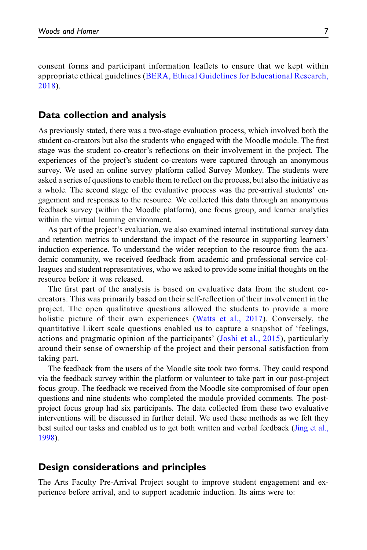consent forms and participant information leaflets to ensure that we kept within appropriate ethical guidelines ([BERA, Ethical Guidelines for Educational Research,](#page-18-10) [2018](#page-18-10)).

### Data collection and analysis

As previously stated, there was a two-stage evaluation process, which involved both the student co-creators but also the students who engaged with the Moodle module. The first stage was the student co-creator's reflections on their involvement in the project. The experiences of the project's student co-creators were captured through an anonymous survey. We used an online survey platform called Survey Monkey. The students were asked a series of questions to enable them to reflect on the process, but also the initiative as a whole. The second stage of the evaluative process was the pre-arrival students' engagement and responses to the resource. We collected this data through an anonymous feedback survey (within the Moodle platform), one focus group, and learner analytics within the virtual learning environment.

As part of the project's evaluation, we also examined internal institutional survey data and retention metrics to understand the impact of the resource in supporting learners' induction experience. To understand the wider reception to the resource from the academic community, we received feedback from academic and professional service colleagues and student representatives, who we asked to provide some initial thoughts on the resource before it was released.

The first part of the analysis is based on evaluative data from the student cocreators. This was primarily based on their self-reflection of their involvement in the project. The open qualitative questions allowed the students to provide a more holistic picture of their own experiences ([Watts et al., 2017](#page-21-12)). Conversely, the quantitative Likert scale questions enabled us to capture a snapshot of 'feelings, actions and pragmatic opinion of the participants' ([Joshi et al., 2015](#page-19-11)), particularly around their sense of ownership of the project and their personal satisfaction from taking part.

The feedback from the users of the Moodle site took two forms. They could respond via the feedback survey within the platform or volunteer to take part in our post-project focus group. The feedback we received from the Moodle site compromised of four open questions and nine students who completed the module provided comments. The postproject focus group had six participants. The data collected from these two evaluative interventions will be discussed in further detail. We used these methods as we felt they best suited our tasks and enabled us to get both written and verbal feedback ([Jing et al.,](#page-19-12) [1998\)](#page-19-12).

### Design considerations and principles

The Arts Faculty Pre-Arrival Project sought to improve student engagement and experience before arrival, and to support academic induction. Its aims were to: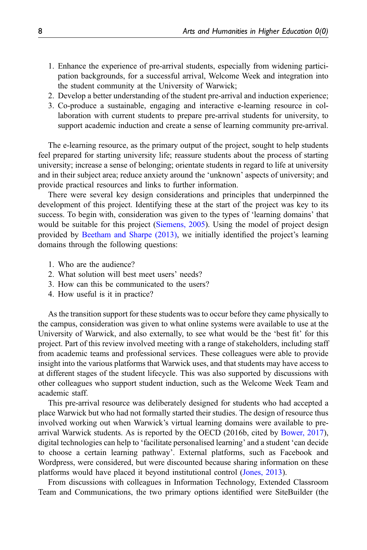- 1. Enhance the experience of pre-arrival students, especially from widening participation backgrounds, for a successful arrival, Welcome Week and integration into the student community at the University of Warwick;
- 2. Develop a better understanding of the student pre-arrival and induction experience;
- 3. Co-produce a sustainable, engaging and interactive e-learning resource in collaboration with current students to prepare pre-arrival students for university, to support academic induction and create a sense of learning community pre-arrival.

The e-learning resource, as the primary output of the project, sought to help students feel prepared for starting university life; reassure students about the process of starting university; increase a sense of belonging; orientate students in regard to life at university and in their subject area; reduce anxiety around the 'unknown' aspects of university; and provide practical resources and links to further information.

There were several key design considerations and principles that underpinned the development of this project. Identifying these at the start of the project was key to its success. To begin with, consideration was given to the types of 'learning domains' that would be suitable for this project [\(Siemens, 2005\)](#page-21-13). Using the model of project design provided by [Beetham and Sharpe \(2013\)](#page-18-11), we initially identified the project's learning domains through the following questions:

- 1. Who are the audience?
- 2. What solution will best meet users' needs?
- 3. How can this be communicated to the users?
- 4. How useful is it in practice?

As the transition support for these students was to occur before they came physically to the campus, consideration was given to what online systems were available to use at the University of Warwick, and also externally, to see what would be the 'best fit' for this project. Part of this review involved meeting with a range of stakeholders, including staff from academic teams and professional services. These colleagues were able to provide insight into the various platforms that Warwick uses, and that students may have access to at different stages of the student lifecycle. This was also supported by discussions with other colleagues who support student induction, such as the Welcome Week Team and academic staff.

This pre-arrival resource was deliberately designed for students who had accepted a place Warwick but who had not formally started their studies. The design of resource thus involved working out when Warwick's virtual learning domains were available to prearrival Warwick students. As is reported by the OECD (2016b, cited by [Bower, 2017\)](#page-18-12), digital technologies can help to 'facilitate personalised learning' and a student 'can decide to choose a certain learning pathway'. External platforms, such as Facebook and Wordpress, were considered, but were discounted because sharing information on these platforms would have placed it beyond institutional control ([Jones, 2013](#page-19-13)).

From discussions with colleagues in Information Technology, Extended Classroom Team and Communications, the two primary options identified were SiteBuilder (the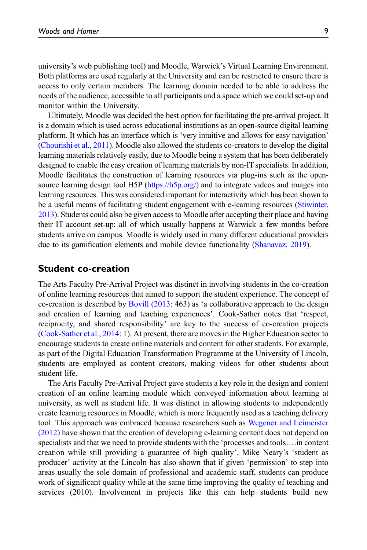university's web publishing tool) and Moodle, Warwick's Virtual Learning Environment. Both platforms are used regularly at the University and can be restricted to ensure there is access to only certain members. The learning domain needed to be able to address the needs of the audience, accessible to all participants and a space which we could set-up and monitor within the University.

Ultimately, Moodle was decided the best option for facilitating the pre-arrival project. It is a domain which is used across educational institutions as an open-source digital learning platform. It which has an interface which is 'very intuitive and allows for easy navigation' [\(Chourishi et al., 2011\)](#page-18-13). Moodle also allowed the students co-creators to develop the digital learning materials relatively easily, due to Moodle being a system that has been deliberately designed to enable the easy creation of learning materials by non-IT specialists. In addition, Moodle facilitates the construction of learning resources via plug-ins such as the opensource learning design tool H5P ([https://h5p.org/\)](https://h5p.org/) and to integrate videos and images into learning resources. This was considered important for interactivity which has been shown to be a useful means of facilitating student engagement with e-learning resources ([Stiwinter,](#page-21-14) [2013\)](#page-21-14). Students could also be given access to Moodle after accepting their place and having their IT account set-up; all of which usually happens at Warwick a few months before students arrive on campus. Moodle is widely used in many different educational providers due to its gamification elements and mobile device functionality [\(Shanavaz, 2019\)](#page-21-15).

# Student co-creation

The Arts Faculty Pre-Arrival Project was distinct in involving students in the co-creation of online learning resources that aimed to support the student experience. The concept of co-creation is described by [Bovill \(2013:](#page-18-14) 463) as 'a collaborative approach to the design and creation of learning and teaching experiences'. Cook-Sather notes that 'respect, reciprocity, and shared responsibility' are key to the success of co-creation projects [\(Cook-Sather et al., 2014:](#page-18-0) 1). At present, there are moves in the Higher Education sector to encourage students to create online materials and content for other students. For example, as part of the Digital Education Transformation Programme at the University of Lincoln, students are employed as content creators, making videos for other students about student life.

The Arts Faculty Pre-Arrival Project gave students a key role in the design and content creation of an online learning module which conveyed information about learning at university, as well as student life. It was distinct in allowing students to independently create learning resources in Moodle, which is more frequently used as a teaching delivery tool. This approach was embraced because researchers such as [Wegener and Leimeister](#page-21-16) [\(2012\)](#page-21-16) have shown that the creation of developing e-learning content does not depend on specialists and that we need to provide students with the 'processes and tools….in content creation while still providing a guarantee of high quality'. Mike Neary's 'student as producer' activity at the Lincoln has also shown that if given 'permission' to step into areas usually the sole domain of professional and academic staff, students can produce work of significant quality while at the same time improving the quality of teaching and services (2010). Involvement in projects like this can help students build new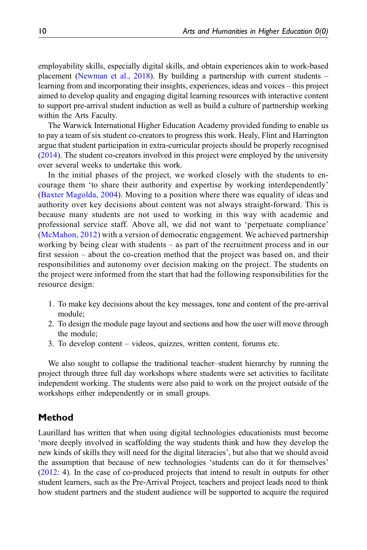employability skills, especially digital skills, and obtain experiences akin to work-based placement ([Newman et al., 2018](#page-20-10)). By building a partnership with current students – learning from and incorporating their insights, experiences, ideas and voices – this project aimed to develop quality and engaging digital learning resources with interactive content to support pre-arrival student induction as well as build a culture of partnership working within the Arts Faculty.

The Warwick International Higher Education Academy provided funding to enable us to pay a team of six student co-creators to progress this work. Healy, Flint and Harrington argue that student participation in extra-curricular projects should be properly recognised [\(2014](#page-19-2)). The student co-creators involved in this project were employed by the university over several weeks to undertake this work.

In the initial phases of the project, we worked closely with the students to encourage them 'to share their authority and expertise by working interdependently' [\(Baxter Magolda, 2004](#page-18-15)). Moving to a position where there was equality of ideas and authority over key decisions about content was not always straight-forward. This is because many students are not used to working in this way with academic and professional service staff. Above all, we did not want to 'perpetuate compliance' [\(McMahon, 2012\)](#page-19-14) with a version of democratic engagement. We achieved partnership working by being clear with students – as part of the recruitment process and in our first session – about the co-creation method that the project was based on, and their responsibilities and autonomy over decision making on the project. The students on the project were informed from the start that had the following responsibilities for the resource design:

- 1. To make key decisions about the key messages, tone and content of the pre-arrival module;
- 2. To design the module page layout and sections and how the user will move through the module;
- 3. To develop content videos, quizzes, written content, forums etc.

We also sought to collapse the traditional teacher–student hierarchy by running the project through three full day workshops where students were set activities to facilitate independent working. The students were also paid to work on the project outside of the workshops either independently or in small groups.

# Method

Laurillard has written that when using digital technologies educationists must become 'more deeply involved in scaffolding the way students think and how they develop the new kinds of skills they will need for the digital literacies', but also that we should avoid the assumption that because of new technologies 'students can do it for themselves' [\(2012](#page-19-15): 4). In the case of co-produced projects that intend to result in outputs for other student learners, such as the Pre-Arrival Project, teachers and project leads need to think how student partners and the student audience will be supported to acquire the required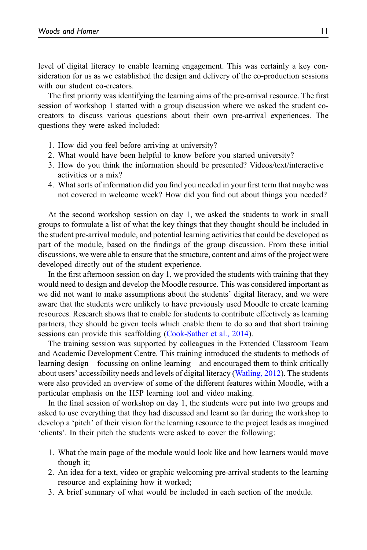level of digital literacy to enable learning engagement. This was certainly a key consideration for us as we established the design and delivery of the co-production sessions with our student co-creators.

The first priority was identifying the learning aims of the pre-arrival resource. The first session of workshop 1 started with a group discussion where we asked the student cocreators to discuss various questions about their own pre-arrival experiences. The questions they were asked included:

- 1. How did you feel before arriving at university?
- 2. What would have been helpful to know before you started university?
- 3. How do you think the information should be presented? Videos/text/interactive activities or a mix?
- 4. What sorts of information did you find you needed in your first term that maybe was not covered in welcome week? How did you find out about things you needed?

At the second workshop session on day 1, we asked the students to work in small groups to formulate a list of what the key things that they thought should be included in the student pre-arrival module, and potential learning activities that could be developed as part of the module, based on the findings of the group discussion. From these initial discussions, we were able to ensure that the structure, content and aims of the project were developed directly out of the student experience.

In the first afternoon session on day 1, we provided the students with training that they would need to design and develop the Moodle resource. This was considered important as we did not want to make assumptions about the students' digital literacy, and we were aware that the students were unlikely to have previously used Moodle to create learning resources. Research shows that to enable for students to contribute effectively as learning partners, they should be given tools which enable them to do so and that short training sessions can provide this scaffolding ([Cook-Sather et al., 2014\)](#page-18-0).

The training session was supported by colleagues in the Extended Classroom Team and Academic Development Centre. This training introduced the students to methods of learning design – focussing on online learning – and encouraged them to think critically about users' accessibility needs and levels of digital literacy [\(Watling, 2012\)](#page-21-17). The students were also provided an overview of some of the different features within Moodle, with a particular emphasis on the H5P learning tool and video making.

In the final session of workshop on day 1, the students were put into two groups and asked to use everything that they had discussed and learnt so far during the workshop to develop a 'pitch' of their vision for the learning resource to the project leads as imagined 'clients'. In their pitch the students were asked to cover the following:

- 1. What the main page of the module would look like and how learners would move though it;
- 2. An idea for a text, video or graphic welcoming pre-arrival students to the learning resource and explaining how it worked;
- 3. A brief summary of what would be included in each section of the module.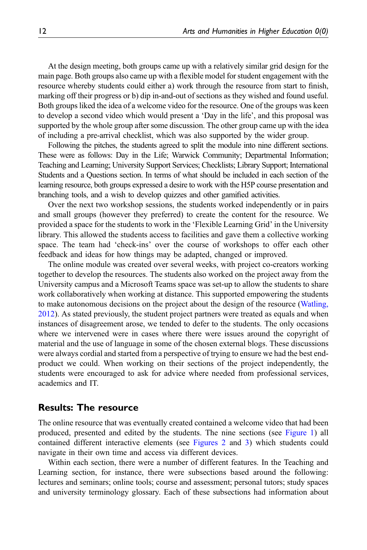At the design meeting, both groups came up with a relatively similar grid design for the main page. Both groups also came up with a flexible model for student engagement with the resource whereby students could either a) work through the resource from start to finish, marking off their progress or b) dip in-and-out of sections as they wished and found useful. Both groups liked the idea of a welcome video for the resource. One of the groups was keen to develop a second video which would present a 'Day in the life', and this proposal was supported by the whole group after some discussion. The other group came up with the idea of including a pre-arrival checklist, which was also supported by the wider group.

Following the pitches, the students agreed to split the module into nine different sections. These were as follows: Day in the Life; Warwick Community; Departmental Information; Teaching and Learning; University Support Services; Checklists; Library Support; International Students and a Questions section. In terms of what should be included in each section of the learning resource, both groups expressed a desire to work with the H5P course presentation and branching tools, and a wish to develop quizzes and other gamified activities.

Over the next two workshop sessions, the students worked independently or in pairs and small groups (however they preferred) to create the content for the resource. We provided a space for the students to work in the 'Flexible Learning Grid' in the University library. This allowed the students access to facilities and gave them a collective working space. The team had 'check-ins' over the course of workshops to offer each other feedback and ideas for how things may be adapted, changed or improved.

The online module was created over several weeks, with project co-creators working together to develop the resources. The students also worked on the project away from the University campus and a Microsoft Teams space was set-up to allow the students to share work collaboratively when working at distance. This supported empowering the students to make autonomous decisions on the project about the design of the resource ([Watling,](#page-21-17) [2012\)](#page-21-17). As stated previously, the student project partners were treated as equals and when instances of disagreement arose, we tended to defer to the students. The only occasions where we intervened were in cases where there were issues around the copyright of material and the use of language in some of the chosen external blogs. These discussions were always cordial and started from a perspective of trying to ensure we had the best endproduct we could. When working on their sections of the project independently, the students were encouraged to ask for advice where needed from professional services, academics and IT.

### Results: The resource

The online resource that was eventually created contained a welcome video that had been produced, presented and edited by the students. The nine sections (see [Figure 1](#page-12-0)) all contained different interactive elements (see [Figures 2](#page-13-0) and [3\)](#page-13-1) which students could navigate in their own time and access via different devices.

Within each section, there were a number of different features. In the Teaching and Learning section, for instance, there were subsections based around the following: lectures and seminars; online tools; course and assessment; personal tutors; study spaces and university terminology glossary. Each of these subsections had information about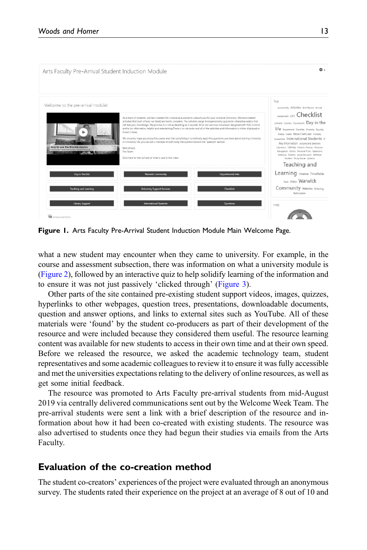| Arts Faculty Pre-Arrival Student Induction Module                                                                                                                     |                                                                                                                                                                                                                                                                                                                                                                                                                                                                                                                                                                                                                                                                                                                                                                                                                                                                                                                      | れ -                                                                                                                                                                                                                                                                                                                                                                                                                                                                                            |
|-----------------------------------------------------------------------------------------------------------------------------------------------------------------------|----------------------------------------------------------------------------------------------------------------------------------------------------------------------------------------------------------------------------------------------------------------------------------------------------------------------------------------------------------------------------------------------------------------------------------------------------------------------------------------------------------------------------------------------------------------------------------------------------------------------------------------------------------------------------------------------------------------------------------------------------------------------------------------------------------------------------------------------------------------------------------------------------------------------|------------------------------------------------------------------------------------------------------------------------------------------------------------------------------------------------------------------------------------------------------------------------------------------------------------------------------------------------------------------------------------------------------------------------------------------------------------------------------------------------|
| Welcome to the pre-arrival module!<br>Play<br>How to use the Moodle course<br>Arts Farsilly Pre-Arrival Student Industrien Module<br><b>ANTIQUES IN THE RESIDENCE</b> | As a team of students, we have created this module as a course to prepare you for your arrival at University. We have created<br>activities that (well at least we think) are fun to complete. The activities range from personality quizzes to interactive videos that<br>will test your knowledge. We promise it is not as daunting as it sounds! All of our activities have been designed with YOU in mind<br>and to be informative, helpful and entertaining. There is no set order and all of the activities and information is either displayed or<br>linked in blue.<br>We sincerely hope you enjoy this course and that completing it is relatively easy! Any questions you have about starting University<br>or University life, you can ask a member of staff using the questionnaire in the 'question' section.<br>Best of luck<br>The Team!<br>Click here for the full text of what is said in the video | Tags<br>accessibility Activities Anti-Racism Arrival<br>Assessment CATS Checklist<br>contacts Courses Coursework Day in the<br>life Department Disability Diversity Equality<br>Essays Exams Extra-Curricular Giossary<br>Humanites International Students in<br>Key Information Lectures and Seminars<br>Liberation Library Module Choices Modules<br>Navigation Online Personal Tutor Questions<br>Schedule Science social-inclusion Software<br>Student Study Space Systems<br>Teaching and |
| Day in the Life                                                                                                                                                       | <b>Warwick Community</b><br><b>Departmental Info</b>                                                                                                                                                                                                                                                                                                                                                                                                                                                                                                                                                                                                                                                                                                                                                                                                                                                                 | Learning Timeline TimeTable<br>Tools Video Warwick                                                                                                                                                                                                                                                                                                                                                                                                                                             |
| <b>Teaching and Learning</b><br><b>Library Support</b><br>Announcements                                                                                               | <b>University Support Services</b><br><b>Checkfists</b><br>International Students<br><b>Ouestions</b>                                                                                                                                                                                                                                                                                                                                                                                                                                                                                                                                                                                                                                                                                                                                                                                                                | Community Websites Widening<br>Participation<br>Help                                                                                                                                                                                                                                                                                                                                                                                                                                           |

<span id="page-12-0"></span>Figure 1. Arts Faculty Pre-Arrival Student Induction Module Main Welcome Page.

what a new student may encounter when they came to university. For example, in the course and assessment subsection, there was information on what a university module is [\(Figure 2](#page-13-0)), followed by an interactive quiz to help solidify learning of the information and to ensure it was not just passively 'clicked through' ([Figure 3](#page-13-1)).

Other parts of the site contained pre-existing student support videos, images, quizzes, hyperlinks to other webpages, question trees, presentations, downloadable documents, question and answer options, and links to external sites such as YouTube. All of these materials were 'found' by the student co-producers as part of their development of the resource and were included because they considered them useful. The resource learning content was available for new students to access in their own time and at their own speed. Before we released the resource, we asked the academic technology team, student representatives and some academic colleagues to review it to ensure it was fully accessible and met the universities expectations relating to the delivery of online resources, as well as get some initial feedback.

The resource was promoted to Arts Faculty pre-arrival students from mid-August 2019 via centrally delivered communications sent out by the Welcome Week Team. The pre-arrival students were sent a link with a brief description of the resource and information about how it had been co-created with existing students. The resource was also advertised to students once they had begun their studies via emails from the Arts Faculty.

# Evaluation of the co-creation method

The student co-creators' experiences of the project were evaluated through an anonymous survey. The students rated their experience on the project at an average of 8 out of 10 and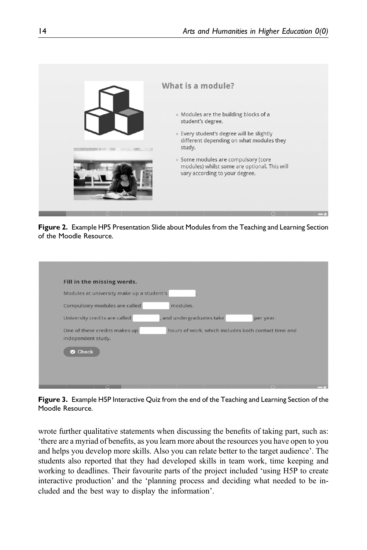

Figure 2. Example HP5 Presentation Slide about Modules from the Teaching and Learning Section of the Moodle Resource.

<span id="page-13-0"></span>

| Modules at university make up a student's                |                                                     |
|----------------------------------------------------------|-----------------------------------------------------|
|                                                          |                                                     |
| Compulsory modules are called<br>modules.                |                                                     |
| University credits are called<br>and undergraduates take | per year.                                           |
| One of these credits makes up                            | hours of work, which includes both contact time and |
| independent study.                                       |                                                     |
| Check                                                    |                                                     |
|                                                          |                                                     |

<span id="page-13-1"></span>Figure 3. Example H5P Interactive Quiz from the end of the Teaching and Learning Section of the Moodle Resource.

wrote further qualitative statements when discussing the benefits of taking part, such as: 'there are a myriad of benefits, as you learn more about the resources you have open to you and helps you develop more skills. Also you can relate better to the target audience'. The students also reported that they had developed skills in team work, time keeping and working to deadlines. Their favourite parts of the project included 'using H5P to create interactive production' and the 'planning process and deciding what needed to be included and the best way to display the information'.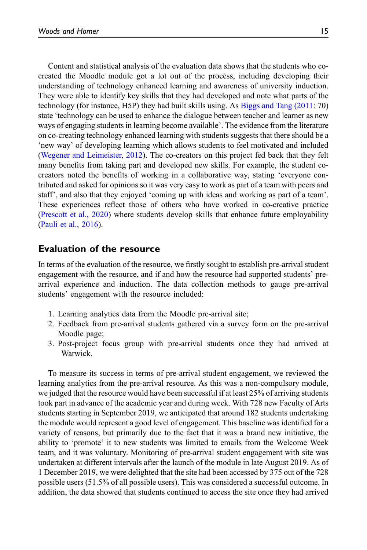Content and statistical analysis of the evaluation data shows that the students who cocreated the Moodle module got a lot out of the process, including developing their understanding of technology enhanced learning and awareness of university induction. They were able to identify key skills that they had developed and note what parts of the technology (for instance, H5P) they had built skills using. As [Biggs and Tang \(2011:](#page-18-16) 70) state 'technology can be used to enhance the dialogue between teacher and learner as new ways of engaging students in learning become available'. The evidence from the literature on co-creating technology enhanced learning with students suggests that there should be a 'new way' of developing learning which allows students to feel motivated and included [\(Wegener and Leimeister, 2012](#page-21-16)). The co-creators on this project fed back that they felt many benefits from taking part and developed new skills. For example, the student cocreators noted the benefits of working in a collaborative way, stating 'everyone contributed and asked for opinions so it was very easy to work as part of a team with peers and staff', and also that they enjoyed 'coming up with ideas and working as part of a team'. These experiences reflect those of others who have worked in co-creative practice [\(Prescott et al., 2020\)](#page-20-11) where students develop skills that enhance future employability [\(Pauli et al., 2016\)](#page-20-12).

# Evaluation of the resource

In terms of the evaluation of the resource, we firstly sought to establish pre-arrival student engagement with the resource, and if and how the resource had supported students' prearrival experience and induction. The data collection methods to gauge pre-arrival students' engagement with the resource included:

- 1. Learning analytics data from the Moodle pre-arrival site;
- 2. Feedback from pre-arrival students gathered via a survey form on the pre-arrival Moodle page;
- 3. Post-project focus group with pre-arrival students once they had arrived at Warwick.

To measure its success in terms of pre-arrival student engagement, we reviewed the learning analytics from the pre-arrival resource. As this was a non-compulsory module, we judged that the resource would have been successful if at least 25% of arriving students took part in advance of the academic year and during week. With 728 new Faculty of Arts students starting in September 2019, we anticipated that around 182 students undertaking the module would represent a good level of engagement. This baseline was identified for a variety of reasons, but primarily due to the fact that it was a brand new initiative, the ability to 'promote' it to new students was limited to emails from the Welcome Week team, and it was voluntary. Monitoring of pre-arrival student engagement with site was undertaken at different intervals after the launch of the module in late August 2019. As of 1 December 2019, we were delighted that the site had been accessed by 375 out of the 728 possible users (51.5% of all possible users). This was considered a successful outcome. In addition, the data showed that students continued to access the site once they had arrived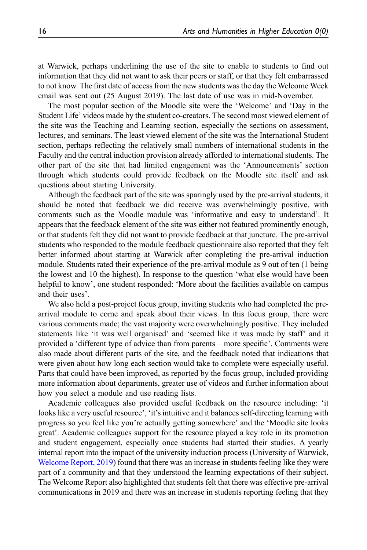at Warwick, perhaps underlining the use of the site to enable to students to find out information that they did not want to ask their peers or staff, or that they felt embarrassed to not know. The first date of access from the new students was the day the Welcome Week email was sent out (25 August 2019). The last date of use was in mid-November.

The most popular section of the Moodle site were the 'Welcome' and 'Day in the Student Life' videos made by the student co-creators. The second most viewed element of the site was the Teaching and Learning section, especially the sections on assessment, lectures, and seminars. The least viewed element of the site was the International Student section, perhaps reflecting the relatively small numbers of international students in the Faculty and the central induction provision already afforded to international students. The other part of the site that had limited engagement was the 'Announcements' section through which students could provide feedback on the Moodle site itself and ask questions about starting University.

Although the feedback part of the site was sparingly used by the pre-arrival students, it should be noted that feedback we did receive was overwhelmingly positive, with comments such as the Moodle module was 'informative and easy to understand'. It appears that the feedback element of the site was either not featured prominently enough, or that students felt they did not want to provide feedback at that juncture. The pre-arrival students who responded to the module feedback questionnaire also reported that they felt better informed about starting at Warwick after completing the pre-arrival induction module. Students rated their experience of the pre-arrival module as 9 out of ten (1 being the lowest and 10 the highest). In response to the question 'what else would have been helpful to know', one student responded: 'More about the facilities available on campus and their uses'.

We also held a post-project focus group, inviting students who had completed the prearrival module to come and speak about their views. In this focus group, there were various comments made; the vast majority were overwhelmingly positive. They included statements like 'it was well organised' and 'seemed like it was made by staff' and it provided a 'different type of advice than from parents – more specific'. Comments were also made about different parts of the site, and the feedback noted that indications that were given about how long each section would take to complete were especially useful. Parts that could have been improved, as reported by the focus group, included providing more information about departments, greater use of videos and further information about how you select a module and use reading lists.

Academic colleagues also provided useful feedback on the resource including: 'it looks like a very useful resource', 'it's intuitive and it balances self-directing learning with progress so you feel like you're actually getting somewhere' and the 'Moodle site looks great'. Academic colleagues support for the resource played a key role in its promotion and student engagement, especially once students had started their studies. A yearly internal report into the impact of the university induction process (University of Warwick, [Welcome Report, 2019](#page-21-18)) found that there was an increase in students feeling like they were part of a community and that they understood the learning expectations of their subject. The Welcome Report also highlighted that students felt that there was effective pre-arrival communications in 2019 and there was an increase in students reporting feeling that they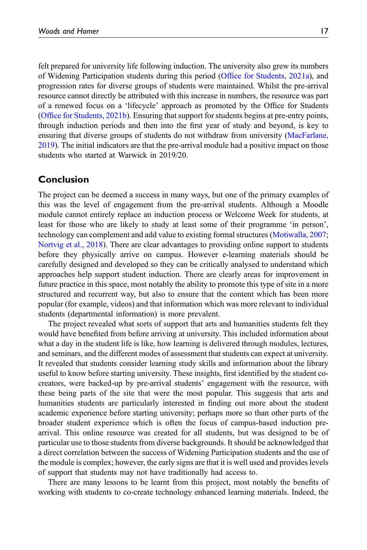felt prepared for university life following induction. The university also grew its numbers of Widening Participation students during this period (Offi[ce for Students, 2021a\)](#page-20-13), and progression rates for diverse groups of students were maintained. Whilst the pre-arrival resource cannot directly be attributed with this increase in numbers, the resource was part of a renewed focus on a 'lifecycle' approach as promoted by the Office for Students (Offi[ce for Students, 2021b\)](#page-20-14). Ensuring that support for students begins at pre-entry points, through induction periods and then into the first year of study and beyond, is key to ensuring that diverse groups of students do not withdraw from university ([MacFarlane,](#page-20-15) [2019\)](#page-20-15). The initial indicators are that the pre-arrival module had a positive impact on those students who started at Warwick in 2019/20.

# Conclusion

The project can be deemed a success in many ways, but one of the primary examples of this was the level of engagement from the pre-arrival students. Although a Moodle module cannot entirely replace an induction process or Welcome Week for students, at least for those who are likely to study at least some of their programme 'in person', technology can complement and add value to existing formal structures ([Motiwalla, 2007;](#page-20-16) [Nortvig et al., 2018](#page-20-6)). There are clear advantages to providing online support to students before they physically arrive on campus. However e-learning materials should be carefully designed and developed so they can be critically analysed to understand which approaches help support student induction. There are clearly areas for improvement in future practice in this space, most notably the ability to promote this type of site in a more structured and recurrent way, but also to ensure that the content which has been more popular (for example, videos) and that information which was more relevant to individual students (departmental information) is more prevalent.

The project revealed what sorts of support that arts and humanities students felt they would have benefited from before arriving at university. This included information about what a day in the student life is like, how learning is delivered through modules, lectures, and seminars, and the different modes of assessment that students can expect at university. It revealed that students consider learning study skills and information about the library useful to know before starting university. These insights, first identified by the student cocreators, were backed-up by pre-arrival students' engagement with the resource, with these being parts of the site that were the most popular. This suggests that arts and humanities students are particularly interested in finding out more about the student academic experience before starting university; perhaps more so than other parts of the broader student experience which is often the focus of campus-based induction prearrival. This online resource was created for all students, but was designed to be of particular use to those students from diverse backgrounds. It should be acknowledged that a direct correlation between the success of Widening Participation students and the use of the module is complex; however, the early signs are that it is well used and provides levels of support that students may not have traditionally had access to.

There are many lessons to be learnt from this project, most notably the benefits of working with students to co-create technology enhanced learning materials. Indeed, the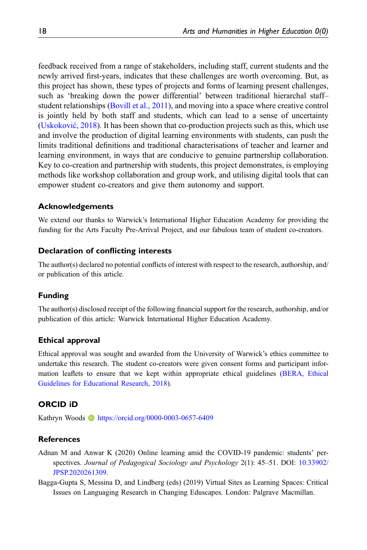feedback received from a range of stakeholders, including staff, current students and the newly arrived first-years, indicates that these challenges are worth overcoming. But, as this project has shown, these types of projects and forms of learning present challenges, such as 'breaking down the power differential' between traditional hierarchal staff– student relationships ([Bovill et al., 2011\)](#page-18-17), and moving into a space where creative control is jointly held by both staff and students, which can lead to a sense of uncertainty (Uskoković, 2018). It has been shown that co-production projects such as this, which use and involve the production of digital learning environments with students, can push the limits traditional definitions and traditional characterisations of teacher and learner and learning environment, in ways that are conducive to genuine partnership collaboration. Key to co-creation and partnership with students, this project demonstrates, is employing methods like workshop collaboration and group work, and utilising digital tools that can empower student co-creators and give them autonomy and support.

### Acknowledgements

We extend our thanks to Warwick's International Higher Education Academy for providing the funding for the Arts Faculty Pre-Arrival Project, and our fabulous team of student co-creators.

### Declaration of conflicting interests

The author(s) declared no potential conflicts of interest with respect to the research, authorship, and/ or publication of this article.

### Funding

The author(s) disclosed receipt of the following financial support for the research, authorship, and/or publication of this article: Warwick International Higher Education Academy.

### Ethical approval

Ethical approval was sought and awarded from the University of Warwick's ethics committee to undertake this research. The student co-creators were given consent forms and participant information leaflets to ensure that we kept within appropriate ethical guidelines ([BERA, Ethical](#page-18-10) [Guidelines for Educational Research, 2018\)](#page-18-10).

### ORCID iD

Kathryn Woods **b** <https://orcid.org/0000-0003-0657-6409>

#### <span id="page-17-1"></span>**References**

- Adnan M and Anwar K (2020) Online learning amid the COVID-19 pandemic: students' perspectives. Journal of Pedagogical Sociology and Psychology 2(1): 45–51. DOI: [10.33902/](https://doi.org/10.33902/JPSP.2020261309) [JPSP.2020261309](https://doi.org/10.33902/JPSP.2020261309).
- <span id="page-17-0"></span>Bagga-Gupta S, Messina D, and Lindberg (eds) (2019) Virtual Sites as Learning Spaces: Critical Issues on Languaging Research in Changing Eduscapes. London: Palgrave Macmillan.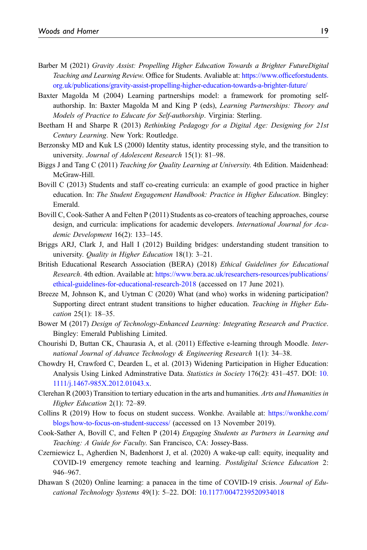- <span id="page-18-6"></span>Barber M (2021) Gravity Assist: Propelling Higher Education Towards a Brighter FutureDigital Teaching and Learning Review. Office for Students. Avaliable at: [https://www.of](https://www.officeforstudents.org.uk/publications/gravity-assist-propelling-higher-education-towards-a-brighter-future/)ficeforstudents. [org.uk/publications/gravity-assist-propelling-higher-education-towards-a-brighter-future/](https://www.officeforstudents.org.uk/publications/gravity-assist-propelling-higher-education-towards-a-brighter-future/)
- <span id="page-18-15"></span>Baxter Magolda M (2004) Learning partnerships model: a framework for promoting selfauthorship. In: Baxter Magolda M and King P (eds), Learning Partnerships: Theory and Models of Practice to Educate for Self-authorship. Virginia: Sterling.
- <span id="page-18-11"></span>Beetham H and Sharpe R (2013) Rethinking Pedagogy for a Digital Age: Designing for 21st Century Learning. New York: Routledge.
- <span id="page-18-1"></span>Berzonsky MD and Kuk LS (2000) Identity status, identity processing style, and the transition to university. Journal of Adolescent Research 15(1): 81–98.
- <span id="page-18-16"></span>Biggs J and Tang C (2011) *Teaching for Quality Learning at University*. 4th Edition. Maidenhead: McGraw-Hill.
- <span id="page-18-14"></span>Bovill C (2013) Students and staff co-creating curricula: an example of good practice in higher education. In: The Student Engagement Handbook: Practice in Higher Education. Bingley: Emerald.
- <span id="page-18-17"></span>Bovill C, Cook-Sather A and Felten P (2011) Students as co-creators of teaching approaches, course design, and curricula: implications for academic developers. International Journal for Academic Development 16(2): 133–145.
- <span id="page-18-4"></span>Briggs ARJ, Clark J, and Hall I (2012) Building bridges: understanding student transition to university. Quality in Higher Education 18(1): 3–21.
- <span id="page-18-10"></span>British Educational Research Association (BERA) (2018) Ethical Guidelines for Educational Research. 4th edtion. Available at: [https://www.bera.ac.uk/researchers-resources/publications/](https://www.bera.ac.uk/researchers-resources/publications/ethical-guidelines-for-educational-research-2018) [ethical-guidelines-for-educational-research-2018](https://www.bera.ac.uk/researchers-resources/publications/ethical-guidelines-for-educational-research-2018) (accessed on 17 June 2021).
- <span id="page-18-8"></span>Breeze M, Johnson K, and Uytman C (2020) What (and who) works in widening participation? Supporting direct entrant student transitions to higher education. Teaching in Higher Education 25(1): 18–35.
- <span id="page-18-12"></span>Bower M (2017) Design of Technology-Enhanced Learning: Integrating Research and Practice. Bingley: Emerald Publishing Limited.
- <span id="page-18-13"></span>Chourishi D, Buttan CK, Chaurasia A, et al. (2011) Effective e-learning through Moodle. International Journal of Advance Technology & Engineering Research 1(1): 34–38.
- <span id="page-18-9"></span>Chowdry H, Crawford C, Dearden L, et al. (2013) Widening Participation in Higher Education: Analysis Using Linked Adminstrative Data. Statistics in Society 176(2): 431–457. DOI: [10.](https://doi.org/10.1111/j.1467-985X.2012.01043.x) [1111/j.1467-985X.2012.01043.x](https://doi.org/10.1111/j.1467-985X.2012.01043.x).
- <span id="page-18-5"></span>Clerehan R (2003) Transition to tertiary education in the arts and humanities. Arts and Humanities in Higher Education 2(1): 72–89.
- <span id="page-18-2"></span>Collins R (2019) How to focus on student success. Wonkhe. Available at: [https://wonkhe.com/](https://wonkhe.com/blogs/how-to-focus-on-student-success/) [blogs/how-to-focus-on-student-success/](https://wonkhe.com/blogs/how-to-focus-on-student-success/) (accessed on 13 November 2019).
- <span id="page-18-0"></span>Cook-Sather A, Bovill C, and Felten P (2014) Engaging Students as Partners in Learning and Teaching: A Guide for Faculty. San Francisco, CA: Jossey-Bass.
- <span id="page-18-3"></span>Czerniewicz L, Agherdien N, Badenhorst J, et al. (2020) A wake-up call: equity, inequality and COVID-19 emergency remote teaching and learning. Postdigital Science Education 2: 946–967.
- <span id="page-18-7"></span>Dhawan S (2020) Online learning: a panacea in the time of COVID-19 crisis. Journal of Educational Technology Systems 49(1): 5–22. DOI: [10.1177/0047239520934018](https://doi.org/10.1177/0047239520934018)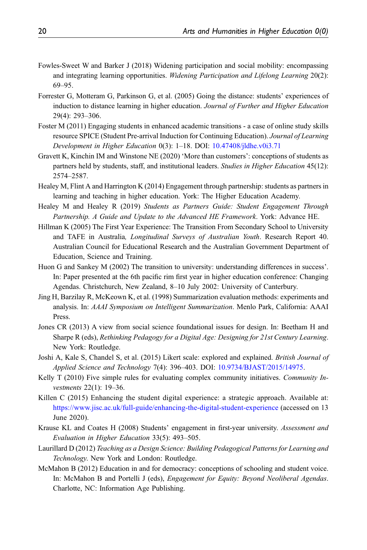- <span id="page-19-9"></span>Fowles-Sweet W and Barker J (2018) Widening participation and social mobility: encompassing and integrating learning opportunities. Widening Participation and Lifelong Learning 20(2): 69–95.
- <span id="page-19-7"></span>Forrester G, Motteram G, Parkinson G, et al. (2005) Going the distance: students' experiences of induction to distance learning in higher education. Journal of Further and Higher Education 29(4): 293–306.
- <span id="page-19-3"></span>Foster M (2011) Engaging students in enhanced academic transitions - a case of online study skills resource SPICE (Student Pre-arrival Induction for Continuing Education). Journal of Learning Development in Higher Education 0(3): 1–18. DOI: [10.47408/jldhe.v0i3.71](https://doi.org/10.47408/jldhe.v0i3.71)
- <span id="page-19-0"></span>Gravett K, Kinchin IM and Winstone NE (2020) 'More than customers': conceptions of students as partners held by students, staff, and institutional leaders. *Studies in Higher Education* 45(12): 2574–2587.
- <span id="page-19-2"></span>Healey M, Flint A and Harrington K (2014) Engagement through partnership: students as partners in learning and teaching in higher education. York: The Higher Education Academy.
- <span id="page-19-1"></span>Healey M and Healey R (2019) Students as Partners Guide: Student Engagement Through Partnership. A Guide and Update to the Advanced HE Framework. York: Advance HE.
- <span id="page-19-5"></span>Hillman K (2005) The First Year Experience: The Transition From Secondary School to University and TAFE in Australia, Longitudinal Surveys of Australian Youth. Research Report 40. Australian Council for Educational Research and the Australian Government Department of Education, Science and Training.
- <span id="page-19-6"></span>Huon G and Sankey M (2002) The transition to university: understanding differences in success'. In: Paper presented at the 6th pacific rim first year in higher education conference: Changing Agendas. Christchurch, New Zealand, 8–10 July 2002: University of Canterbury.
- <span id="page-19-12"></span>Jing H, Barzilay R, McKeown K, et al. (1998) Summarization evaluation methods: experiments and analysis. In: AAAI Symposium on Intelligent Summarization. Menlo Park, California: AAAI Press.
- <span id="page-19-13"></span>Jones CR (2013) A view from social science foundational issues for design. In: Beetham H and Sharpe R (eds), Rethinking Pedagogy for a Digital Age: Designing for 21st Century Learning. New York: Routledge.
- <span id="page-19-11"></span>Joshi A, Kale S, Chandel S, et al. (2015) Likert scale: explored and explained. British Journal of Applied Science and Technology 7(4): 396–403. DOI: [10.9734/BJAST/2015/14975.](https://doi.org/10.9734/BJAST/2015/14975)
- <span id="page-19-10"></span>Kelly T (2010) Five simple rules for evaluating complex community initiatives. Community Investments 22(1): 19–36.
- <span id="page-19-8"></span>Killen C (2015) Enhancing the student digital experience: a strategic approach. Available at: <https://www.jisc.ac.uk/full-guide/enhancing-the-digital-student-experience> (accessed on 13 June 2020).
- <span id="page-19-15"></span><span id="page-19-4"></span>Krause KL and Coates H (2008) Students' engagement in first-year university. Assessment and Evaluation in Higher Education 33(5): 493–505.
- <span id="page-19-14"></span>Laurillard D (2012) Teaching as a Design Science: Building Pedagogical Patterns for Learning and Technology. New York and London: Routledge.
- McMahon B (2012) Education in and for democracy: conceptions of schooling and student voice. In: McMahon B and Portelli J (eds), Engagement for Equity: Beyond Neoliberal Agendas. Charlotte, NC: Information Age Publishing.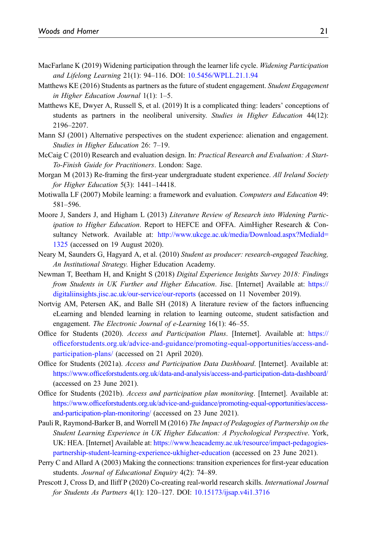- <span id="page-20-15"></span>MacFarlane K (2019) Widening participation through the learner life cycle. Widening Participation and Lifelong Learning 21(1): 94–116. DOI: [10.5456/WPLL.21.1.94](https://doi.org/10.5456/WPLL.21.1.94)
- <span id="page-20-3"></span>Matthews KE (2016) Students as partners as the future of student engagement. Student Engagement in Higher Education Journal 1(1): 1–5.
- <span id="page-20-0"></span>Matthews KE, Dwyer A, Russell S, et al. (2019) It is a complicated thing: leaders' conceptions of students as partners in the neoliberal university. Studies in Higher Education 44(12): 2196–2207.
- <span id="page-20-4"></span>Mann SJ (2001) Alternative perspectives on the student experience: alienation and engagement. Studies in Higher Education 26: 7–19.
- <span id="page-20-9"></span>McCaig C (2010) Research and evaluation design. In: Practical Research and Evaluation: A Start-To-Finish Guide for Practitioners. London: Sage.
- <span id="page-20-1"></span>Morgan M (2013) Re-framing the first-year undergraduate student experience. All Ireland Society for Higher Education 5(3): 1441–14418.
- <span id="page-20-16"></span>Motiwalla LF (2007) Mobile learning: a framework and evaluation. Computers and Education 49: 581–596.
- <span id="page-20-7"></span>Moore J, Sanders J, and Higham L (2013) Literature Review of Research into Widening Participation to Higher Education. Report to HEFCE and OFFA. AimHigher Research & Consultancy Network. Available at: [http://www.ukcge.ac.uk/media/Download.aspx?MediaId=](http://www.ukcge.ac.uk/media/Download.aspx?MediaId=1325) [1325](http://www.ukcge.ac.uk/media/Download.aspx?MediaId=1325) (accessed on 19 August 2020).
- <span id="page-20-2"></span>Neary M, Saunders G, Hagyard A, et al. (2010) Student as producer: research-engaged Teaching, An Institutional Strategy. Higher Education Academy.
- <span id="page-20-10"></span>Newman T, Beetham H, and Knight S (2018) Digital Experience Insights Survey 2018: Findings from Students in UK Further and Higher Education. Jisc. [Internet] Available at: [https://](https://digitaliinsights.jisc.ac.uk/our-service/our-reports) [digitaliinsights.jisc.ac.uk/our-service/our-reports](https://digitaliinsights.jisc.ac.uk/our-service/our-reports) (accessed on 11 November 2019).
- <span id="page-20-6"></span>Nortvig AM, Petersen AK, and Balle SH (2018) A literature review of the factors influencing eLearning and blended learning in relation to learning outcome, student satisfaction and engagement. The Electronic Journal of e-Learning 16(1): 46–55.
- <span id="page-20-8"></span>Office for Students (2020). Access and Participation Plans. [Internet]. Available at: [https://](https://officeforstudents.org.uk/advice-and-guidance/promoting-equal-opportunities/access-and-participation-plans/) offi[ceforstudents.org.uk/advice-and-guidance/promoting-equal-opportunities/access-and](https://officeforstudents.org.uk/advice-and-guidance/promoting-equal-opportunities/access-and-participation-plans/)[participation-plans/](https://officeforstudents.org.uk/advice-and-guidance/promoting-equal-opportunities/access-and-participation-plans/) (accessed on 21 April 2020).
- <span id="page-20-13"></span>Office for Students (2021a). Access and Participation Data Dashboard. [Internet]. Available at: https://www.offi[ceforstudents.org.uk/data-and-analysis/access-and-participation-data-dashboard/](https://www.officeforstudents.org.uk/data-and-analysis/access-and-participation-data-dashboard/) (accessed on 23 June 2021).
- <span id="page-20-14"></span>Office for Students (2021b). Access and participation plan monitoring. [Internet]. Available at: https://www.offi[ceforstudents.org.uk/advice-and-guidance/promoting-equal-opportunities/access](https://www.officeforstudents.org.uk/advice-and-guidance/promoting-equal-opportunities/access-and-participation-plan-monitoring/)[and-participation-plan-monitoring/](https://www.officeforstudents.org.uk/advice-and-guidance/promoting-equal-opportunities/access-and-participation-plan-monitoring/) (accessed on 23 June 2021).
- <span id="page-20-12"></span>Pauli R, Raymond-Barker B, and Worrell M (2016) The Impact of Pedagogies of Partnership on the Student Learning Experience in UK Higher Education: A Psychological Perspective. York, UK: HEA. [Internet] Available at: [https://www.heacademy.ac.uk/resource/impact-pedagogies](https://www.heacademy.ac.uk/resource/impact-pedagogies-partnership-student-learning-experience-ukhigher-education)[partnership-student-learning-experience-ukhigher-education](https://www.heacademy.ac.uk/resource/impact-pedagogies-partnership-student-learning-experience-ukhigher-education) (accessed on 23 June 2021).
- <span id="page-20-5"></span>Perry C and Allard A (2003) Making the connections: transition experiences for first-year education students. Journal of Educational Enquiry 4(2): 74–89.
- <span id="page-20-11"></span>Prescott J, Cross D, and Iliff P (2020) Co-creating real-world research skills. *International Journal* for Students As Partners 4(1): 120–127. DOI: [10.15173/ijsap.v4i1.3716](https://doi.org/10.15173/ijsap.v4i1.3716)